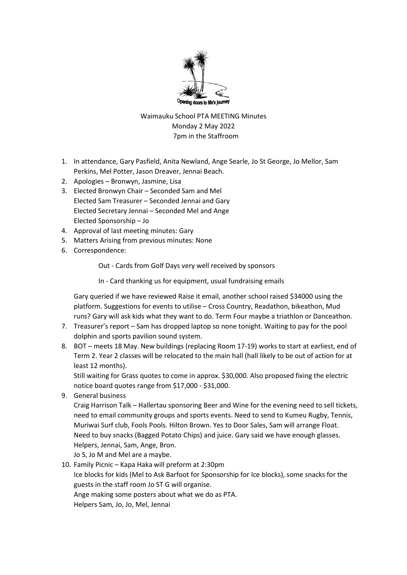

Waimauku School PTA MEETING Minutes Monday 2 May 2022 7pm in the Staffroom

- 1. In attendance, Gary Pasfield, Anita Newland, Ange Searle, Jo St George, Jo Mellor, Sam Perkins, Mel Potter, Jason Dreaver, Jennai Beach.
- 2. Apologies Bronwyn, Jasmine, Lisa
- 3. Elected Bronwyn Chair Seconded Sam and Mel Elected Sam Treasurer – Seconded Jennai and Gary Elected Secretary Jennai – Seconded Mel and Ange Elected Sponsorship – Jo
- 4. Approval of last meeting minutes: Gary
- 5. Matters Arising from previous minutes: None
- 6. Correspondence:

Out - Cards from Golf Days very well received by sponsors

In - Card thanking us for equipment, usual fundraising emails

Gary queried if we have reviewed Raise it email, another school raised \$34000 using the platform. Suggestions for events to utilise – Cross Country, Readathon, bikeathon, Mud runs? Gary will ask kids what they want to do. Term Four maybe a triathlon or Danceathon.

- 7. Treasurer's report Sam has dropped laptop so none tonight. Waiting to pay for the pool dolphin and sports pavilion sound system.
- 8. BOT meets 18 May. New buildings (replacing Room 17-19) works to start at earliest, end of Term 2. Year 2 classes will be relocated to the main hall (hall likely to be out of action for at least 12 months).

Still waiting for Grass quotes to come in approx. \$30,000. Also proposed fixing the electric notice board quotes range from \$17,000 - \$31,000.

9. General business

Craig Harrison Talk – Hallertau sponsoring Beer and Wine for the evening need to sell tickets, need to email community groups and sports events. Need to send to Kumeu Rugby, Tennis, Muriwai Surf club, Fools Pools. Hilton Brown. Yes to Door Sales, Sam will arrange Float. Need to buy snacks (Bagged Potato Chips) and juice. Gary said we have enough glasses. Helpers, Jennai, Sam, Ange, Bron.

Jo S, Jo M and Mel are a maybe.

10. Family Picnic – Kapa Haka will preform at 2:30pm Ice blocks for kids (Mel to Ask Barfoot for Sponsorship for Ice blocks), some snacks for the guests in the staff room Jo ST G will organise. Ange making some posters about what we do as PTA. Helpers Sam, Jo, Jo, Mel, Jennai